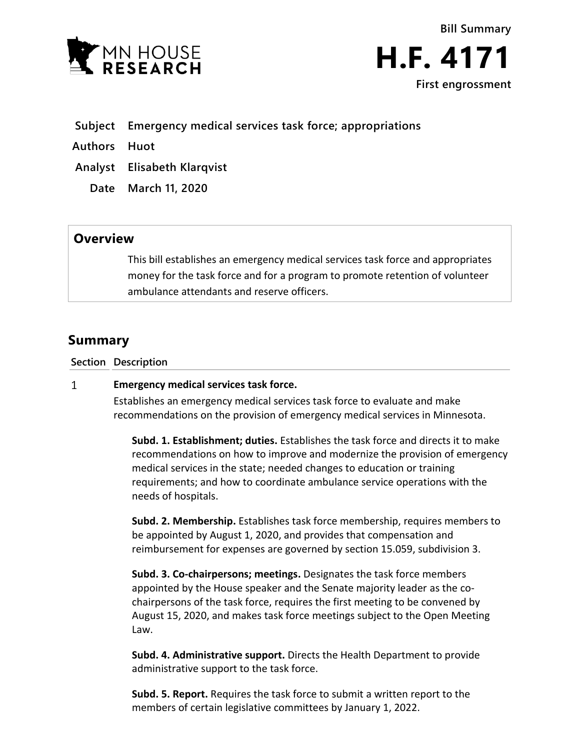

**Bill Summary H.F. 4171 First engrossment**

- **Subject Emergency medical services task force; appropriations**
- **Authors Huot**
- **Analyst Elisabeth Klarqvist**
	- **Date March 11, 2020**

## **Overview**

This bill establishes an emergency medical services task force and appropriates money for the task force and for a program to promote retention of volunteer ambulance attendants and reserve officers.

# **Summary**

**Section Description**

#### $\mathbf{1}$ **Emergency medical services task force.**

Establishes an emergency medical services task force to evaluate and make recommendations on the provision of emergency medical services in Minnesota.

**Subd. 1. Establishment; duties.** Establishes the task force and directs it to make recommendations on how to improve and modernize the provision of emergency medical services in the state; needed changes to education or training requirements; and how to coordinate ambulance service operations with the needs of hospitals.

**Subd. 2. Membership.** Establishes task force membership, requires members to be appointed by August 1, 2020, and provides that compensation and reimbursement for expenses are governed by section 15.059, subdivision 3.

**Subd. 3. Co-chairpersons; meetings.** Designates the task force members appointed by the House speaker and the Senate majority leader as the cochairpersons of the task force, requires the first meeting to be convened by August 15, 2020, and makes task force meetings subject to the Open Meeting Law.

**Subd. 4. Administrative support.** Directs the Health Department to provide administrative support to the task force.

**Subd. 5. Report.** Requires the task force to submit a written report to the members of certain legislative committees by January 1, 2022.